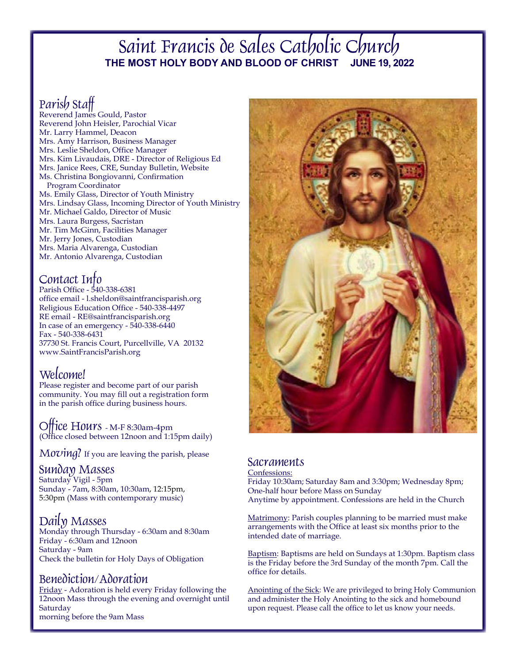## Saint Francis de Sales Catholic Church **THE MOST HOLY BODY AND BLOOD OF CHRIST JUNE 19, 2022**

## Parish Staff

Reverend James Gould, Pastor Reverend John Heisler, Parochial Vicar Mr. Larry Hammel, Deacon Mrs. Amy Harrison, Business Manager Mrs. Leslie Sheldon, Office Manager Mrs. Kim Livaudais, DRE - Director of Religious Ed Mrs. Janice Rees, CRE, Sunday Bulletin, Website Ms. Christina Bongiovanni, Confirmation Program Coordinator Ms. Emily Glass, Director of Youth Ministry Mrs. Lindsay Glass, Incoming Director of Youth Ministry Mr. Michael Galdo, Director of Music Mrs. Laura Burgess, Sacristan Mr. Tim McGinn, Facilities Manager Mr. Jerry Jones, Custodian Mrs. Maria Alvarenga, Custodian Mr. Antonio Alvarenga, Custodian

## Contact Info

Parish Office - 540-338-6381 office email - l.sheldon@saintfrancisparish.org Religious Education Office - 540-338-4497 RE email - RE@saintfrancisparish.org In case of an emergency  $-540-338-6440$ Fax - 540-338-6431 37730 St. Francis Court, Purcellville, VA 20132 www.SaintFrancisParish.org

## Welcome!

Please register and become part of our parish community. You may fill out a registration form in the parish office during business hours.

Office Hours - M-F 8:30am-4pm (Office closed between 12noon and 1:15pm daily)

 $Moving?$  If you are leaving the parish, please

## Sunday Masses

Saturday Vigil - 5pm Sunday - 7am, 8:30am, 10:30am, 12:15pm, 5:30pm (Mass with contemporary music)

Daily MassesMonday through Thursday - 6:30am and 8:30am Friday - 6:30am and 12noon Saturday - 9am Check the bulletin for Holy Days of Obligation

## Benediction/Adoration

Friday - Adoration is held every Friday following the 12noon Mass through the evening and overnight until **Saturday** morning before the 9am Mass



## **Sacraments**

#### Confessions:

Friday 10:30am; Saturday 8am and 3:30pm; Wednesday 8pm; One-half hour before Mass on Sunday Anytime by appointment. Confessions are held in the Church

Matrimony: Parish couples planning to be married must make arrangements with the Office at least six months prior to the intended date of marriage.

Baptism: Baptisms are held on Sundays at 1:30pm. Baptism class is the Friday before the 3rd Sunday of the month 7pm. Call the office for details.

Anointing of the Sick: We are privileged to bring Holy Communion and administer the Holy Anointing to the sick and homebound upon request. Please call the office to let us know your needs.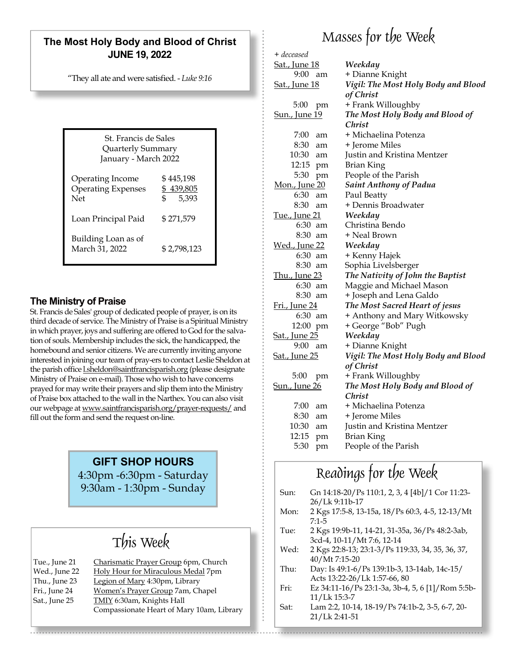## **The Most Holy Body and Blood of Christ JUNE 19, 2022**

"They all ate and were satisfied. - *Luke 9:16*

| St. Francis de Sales<br>Quarterly Summary<br>January - March 2022 |                                         |  |
|-------------------------------------------------------------------|-----------------------------------------|--|
| Operating Income<br><b>Operating Expenses</b><br>Net              | \$ 445,198<br>\$439,805<br>\$.<br>5.393 |  |
| Loan Principal Paid                                               | \$271,579                               |  |
| Building Loan as of<br>March 31, 2022                             | \$2,798,123                             |  |

### **The Ministry of Praise**

St. Francis de Sales' group of dedicated people of prayer, is on its third decade of service. The Ministry of Praise is a Spiritual Ministry in which prayer, joys and suffering are offered to God for the salvation of souls. Membership includes the sick, the handicapped, the homebound and senior citizens. We are currently inviting anyone interested in joining our team of pray-ers to contact Leslie Sheldon at the parish office lsheldon@saintfrancisparish.org (please designate Ministry of Praise on e-mail). Those who wish to have concerns prayed for may write their prayers and slip them into the Ministry of Praise box attached to the wall in the Narthex. You can also visit our webpage at www.saintfrancisparish.org/prayer-requests/ and fill out the form and send the request on-line.

## **GIFT SHOP HOURS**

4:30pm -6:30pm - Saturday 9:30am - 1:30pm - Sunday

## This Week

| Tue., June 21 | Charismatic Prayer Group 6pm, Church      |
|---------------|-------------------------------------------|
| Wed., June 22 | Holy Hour for Miraculous Medal 7pm        |
| Thu., June 23 | Legion of Mary 4:30pm, Library            |
| Fri., June 24 | Women's Prayer Group 7am, Chapel          |
| Sat., June 25 | <b>TMIY</b> 6:30am, Knights Hall          |
|               | Compassionate Heart of Mary 10am, Library |

# Masses for the Week

| + deceased            |                                     |
|-----------------------|-------------------------------------|
| <u>Sat., June 18</u>  | Weekday                             |
| 9:00<br>am            | + Dianne Knight                     |
| <u>Sat., June 18</u>  | Vigil: The Most Holy Body and Blood |
|                       | of Christ                           |
| 5:00<br>pm            | + Frank Willoughby                  |
| <u>Sun., June 19</u>  | The Most Holy Body and Blood of     |
|                       | Christ                              |
| 7:00<br>am            | + Michaelina Potenza                |
| 8:30<br>am            | + Jerome Miles                      |
| 10:30<br>am           | Justin and Kristina Mentzer         |
| 12:15<br>pm           | <b>Brian King</b>                   |
| 5:30<br>pm            | People of the Parish                |
| Mon., June 20         | <b>Saint Anthony of Padua</b>       |
| 6:30<br>am            | Paul Beatty                         |
| 8:30<br>am            | + Dennis Broadwater                 |
| <u>Tue., June 21</u>  | Weekday                             |
| 6:30<br>am            | Christina Bendo                     |
| 8:30<br>am            | + Neal Brown                        |
| <u> Wed., June 22</u> | Weekday                             |
| 6:30<br>am            | + Kenny Hajek                       |
| 8:30<br>am            | Sophia Livelsberger                 |
| <u>Thu., June 23</u>  | The Nativity of John the Baptist    |
| 6:30<br>am            | Maggie and Michael Mason            |
| 8:30<br>am            | + Joseph and Lena Galdo             |
| <u>Fri., June 24</u>  | The Most Sacred Heart of jesus      |
| 6:30 am               | + Anthony and Mary Witkowsky        |
| 12:00<br>pm           | + George "Bob" Pugh                 |
| <u>Sat., June 25</u>  | Weekday                             |
| 9:00<br>am            | + Dianne Knight                     |
| <u>Sat., June 25</u>  | Vigil: The Most Holy Body and Blood |
|                       | of Christ                           |
| 5:00<br>pm            | + Frank Willoughby                  |
| <u>Sun., June 26</u>  | The Most Holy Body and Blood of     |
|                       | <i>Christ</i>                       |
| 7:00<br>am            | + Michaelina Potenza                |
| 8:30<br>am            | + Jerome Miles                      |
| 10:30<br>am           | Justin and Kristina Mentzer         |
| 12:15<br>pm           | Brian King                          |
| 5:30<br>pm            | People of the Parish                |
|                       |                                     |

## Readings for the Week

| Sun: | Gn 14:18-20/Ps 110:1, 2, 3, 4 [4b]/1 Cor 11:23-  |
|------|--------------------------------------------------|
|      | 26/Lk 9:11b-17                                   |
| Mon: | 2 Kgs 17:5-8, 13-15a, 18/Ps 60:3, 4-5, 12-13/Mt  |
|      | $7:1-5$                                          |
| Tue: | 2 Kgs 19:9b-11, 14-21, 31-35a, 36/Ps 48:2-3ab,   |
|      | 3cd-4, 10-11/Mt 7:6, 12-14                       |
| Wed: | 2 Kgs 22:8-13; 23:1-3/Ps 119:33, 34, 35, 36, 37, |
|      | 40/Mt7:15-20                                     |
| Thu: | Day: Is 49:1-6/Ps 139:1b-3, 13-14ab, 14c-15/     |
|      | Acts 13:22-26/Lk 1:57-66, 80                     |
| Fri: | Ez 34:11-16/Ps 23:1-3a, 3b-4, 5, 6 [1]/Rom 5:5b- |
|      | 11/Lk 15:3-7                                     |
|      |                                                  |

Sat: Lam 2:2, 10-14, 18-19/Ps 74:1b-2, 3-5, 6-7, 20- 21/Lk 2:41-51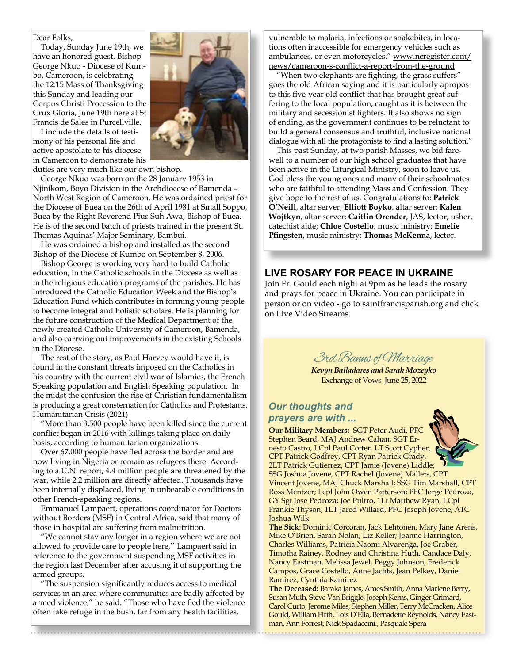#### Dear Folks,

 George Nkuo - Diocese of Kum- bo, Cameroon, is celebrating Today, Sunday June 19th, we have an honored guest. Bishop the 12:15 Mass of Thanksgiving this Sunday and leading our Corpus Christi Procession to the Crux Gloria, June 19th here at St Francis de Sales in Purcellville.

I include the details of testimony of his personal life and active apostolate to his diocese in Cameroon to demonstrate his

duties are very much like our own bishop.

George Nkuo was born on the 28 January 1953 in Njinikom, Boyo Division in the Archdiocese of Bamenda – North West Region of Cameroon. He was ordained priest for the Diocese of Buea on the 26th of April 1981 at Small Soppo, Buea by the Right Reverend Pius Suh Awa, Bishop of Buea. He is of the second batch of priests trained in the present St. Thomas Aquinas' Major Seminary, Bambui.

He was ordained a bishop and installed as the second Bishop of the Diocese of Kumbo on September 8, 2006.

Bishop George is working very hard to build Catholic education, in the Catholic schools in the Diocese as well as in the religious education programs of the parishes. He has introduced the Catholic Education Week and the Bishop's Education Fund which contributes in forming young people to become integral and holistic scholars. He is planning for the future construction of the Medical Department of the newly created Catholic University of Cameroon, Bamenda, and also carrying out improvements in the existing Schools in the Diocese.

The rest of the story, as Paul Harvey would have it, is found in the constant threats imposed on the Catholics in his country with the current civil war of Islamics, the French Speaking population and English Speaking population. In the midst the confusion the rise of Christian fundamentalism is producing a great consternation for Catholics and Protestants. Humanitarian Crisis (2021)

"More than 3,500 people have been killed since the current conflict began in 2016 with killings taking place on daily basis, according to humanitarian organizations.

Over 67,000 people have fled across the border and are now living in Nigeria or remain as refugees there. According to a U.N. report, 4.4 million people are threatened by the war, while 2.2 million are directly affected. Thousands have been internally displaced, living in unbearable conditions in other French-speaking regions.

Emmanuel Lampaert, operations coordinator for Doctors without Borders (MSF) in Central Africa, said that many of those in hospital are suffering from malnutrition.

"We cannot stay any longer in a region where we are not allowed to provide care to people here,'' Lampaert said in reference to the government suspending MSF activities in the region last December after accusing it of supporting the armed groups.

"The suspension significantly reduces access to medical services in an area where communities are badly affected by armed violence," he said. "Those who have fled the violence often take refuge in the bush, far from any health facilities,

 news/cameroon-s-conflict-a-report-from-the-ground vulnerable to malaria, infections or snakebites, in locations often inaccessible for emergency vehicles such as ambulances, or even motorcycles." www.ncregister.com/

"When two elephants are fighting, the grass suffers" goes the old African saying and it is particularly apropos to this five-year old conflict that has brought great suffering to the local population, caught as it is between the military and secessionist fighters. It also shows no sign of ending, as the government continues to be reluctant to build a general consensus and truthful, inclusive national dialogue with all the protagonists to find a lasting solution."

This past Sunday, at two parish Masses, we bid farewell to a number of our high school graduates that have been active in the Liturgical Ministry, soon to leave us. God bless the young ones and many of their schoolmates who are faithful to attending Mass and Confession. They give hope to the rest of us. Congratulations to: **Patrick O'Neill**, altar server; **Elliott Boyko**, altar server; **Kalen Wojtkyn**, altar server; **Caitlin Orender**, JAS, lector, usher, catechist aide; **Chloe Costello**, music ministry; **Emelie Pfingsten**, music ministry; **Thomas McKenna**, lector.

### **LIVE ROSARY FOR PEACE IN UKRAINE**

Join Fr. Gould each night at 9pm as he leads the rosary and prays for peace in Ukraine. You can participate in person or on video - go to saintfrancisparish.org and click on Live Video Streams.



*Kevyn Balladares and Sarah Mozeyko* Exchange of Vows June 25, 2022

#### *Our thoughts and prayers are with ...*

**Our Military Members:** SGT Peter Audi, PFC Stephen Beard, MAJ Andrew Cahan, SGT Ernesto Castro, LCpl Paul Cotter, LT Scott Cypher, CPT Patrick Godfrey, CPT Ryan Patrick Grady, 2LT Patrick Gutierrez, CPT Jamie (Jovene) Liddle; SSG Joshua Jovene, CPT Rachel (Jovene) Mallets, CPT Vincent Jovene, MAJ Chuck Marshall; SSG Tim Marshall, CPT Ross Mentzer; Lcpl John Owen Patterson; PFC Jorge Pedroza, GY Sgt Jose Pedroza; Joe Pultro, 1Lt Matthew Ryan, LCpl Frankie Thyson, 1LT Jared Willard, PFC Joseph Jovene, A1C Joshua Wilk

**The Sick**: Dominic Corcoran, Jack Lehtonen, Mary Jane Arens, Mike O'Brien, Sarah Nolan, Liz Keller; Joanne Harrington, Charles Williams, Patricia Naomi Alvarenga, Joe Graber, Timotha Rainey, Rodney and Christina Huth, Candace Daly, Nancy Eastman, Melissa Jewel, Peggy Johnson, Frederick Campos, Grace Costello, Anne Jachts, Jean Pelkey, Daniel Ramirez, Cynthia Ramirez

**The Deceased:** Baraka James, Ames Smith, Anna Marlene Berry, Susan Muth, Steve Van Briggle, Joseph Kerns, Ginger Grimard, Carol Curto, Jerome Miles, Stephen Miller, Terry McCracken, Alice Gould, William Firth, Lois D'Elia, Bernadette Reynolds, Nancy Eastman, Ann Forrest, Nick Spadaccini., Pasquale Spera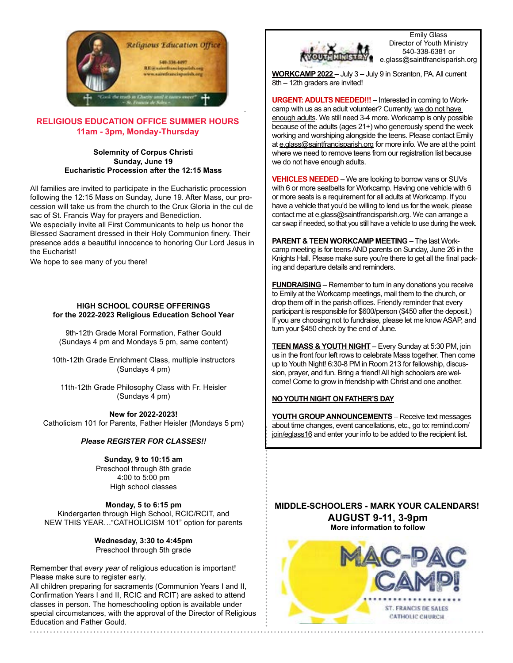

#### **RELIGIOUS EDUCATION OFFICE SUMMER HOURS 11am - 3pm, Monday-Thursday**

#### **Solemnity of Corpus Christi Sunday, June 19 Eucharistic Procession after the 12:15 Mass**

All families are invited to participate in the Eucharistic procession following the 12:15 Mass on Sunday, June 19. After Mass, our procession will take us from the church to the Crux Gloria in the cul de sac of St. Francis Way for prayers and Benediction.

We especially invite all First Communicants to help us honor the Blessed Sacrament dressed in their Holy Communion finery. Their presence adds a beautiful innocence to honoring Our Lord Jesus in the Eucharist!

We hope to see many of you there!

#### **HIGH SCHOOL COURSE OFFERINGS for the 2022-2023 Religious Education School Year**

9th-12th Grade Moral Formation, Father Gould (Sundays 4 pm and Mondays 5 pm, same content)

10th-12th Grade Enrichment Class, multiple instructors (Sundays 4 pm)

11th-12th Grade Philosophy Class with Fr. Heisler (Sundays 4 pm)

**New for 2022-2023!** Catholicism 101 for Parents, Father Heisler (Mondays 5 pm)

#### *Please REGISTER FOR CLASSES!!*

#### **Sunday, 9 to 10:15 am**

Preschool through 8th grade 4:00 to 5:00 pm High school classes

**Monday, 5 to 6:15 pm** Kindergarten through High School, RCIC/RCIT, and NEW THIS YEAR…"CATHOLICISM 101" option for parents

> **Wednesday, 3:30 to 4:45pm** Preschool through 5th grade

Remember that *every year* of religious education is important! Please make sure to register early.

All children preparing for sacraments (Communion Years I and II, Confirmation Years I and II, RCIC and RCIT) are asked to attend classes in person. The homeschooling option is available under special circumstances, with the approval of the Director of Religious Education and Father Gould.



Emily Glass Director of Youth Ministry 540-338-6381 or glass@saintfrancisparish.org

**WORKCAMP 2022** – July 3 – July 9 in Scranton, PA. All current 8th – 12th graders are invited!

**URGENT: ADULTS NEEDED!!! –** Interested in coming to Workcamp with us as an adult volunteer? Currently, we do not have enough adults. We still need 3-4 more. Workcamp is only possible because of the adults (ages 21+) who generously spend the week working and worshiping alongside the teens. Please contact Emily at e.glass@saintfrancisparish.org for more info. We are at the point where we need to remove teens from our registration list because we do not have enough adults.

**VEHICLES NEEDED** – We are looking to borrow vans or SUVs with 6 or more seatbelts for Workcamp. Having one vehicle with 6 or more seats is a requirement for all adults at Workcamp. If you have a vehicle that you'd be willing to lend us for the week, please contact me at e.glass@saintfrancisparish.org. We can arrange a car swap if needed, so that you still have a vehicle to use during the week.

**PARENT & TEEN WORKCAMP MEETING - The last Work**camp meeting is for teens AND parents on Sunday, June 26 in the Knights Hall. Please make sure you're there to get all the final packing and departure details and reminders.

**FUNDRAISING** – Remember to turn in any donations you receive to Emily at the Workcamp meetings, mail them to the church, or drop them off in the parish offices. Friendly reminder that every participant is responsible for \$600/person (\$450 after the deposit.) If you are choosing not to fundraise, please let me know ASAP, and turn your \$450 check by the end of June.

**TEEN MASS & YOUTH NIGHT** – Every Sunday at 5:30 PM, join us in the front four left rows to celebrate Mass together. Then come up to Youth Night! 6:30-8 PM in Room 213 for fellowship, discussion, prayer, and fun. Bring a friend! All high schoolers are welcome! Come to grow in friendship with Christ and one another.

#### **NO YOUTH NIGHT ON FATHER'S DAY**

**YOUTH GROUP ANNOUNCEMENTS** – Receive text messages about time changes, event cancellations, etc., go to: remind.com/ join/eglass16 and enter your info to be added to the recipient list.

**MIDDLE-SCHOOLERS - MARK YOUR CALENDARS! AUGUST 9-11, 3-9pm More information to follow**

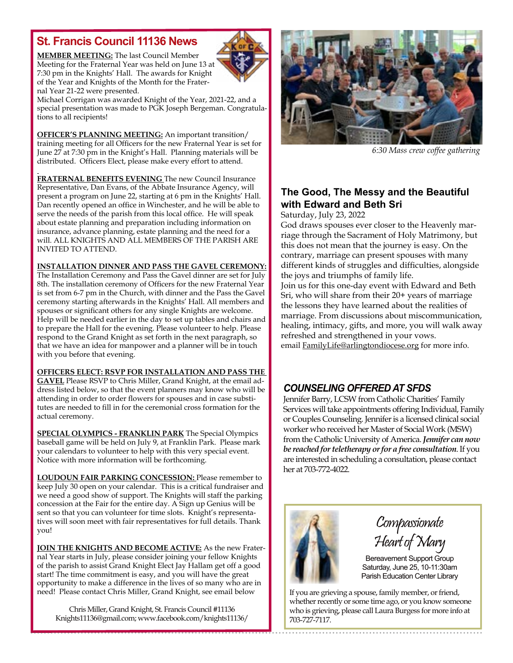## **St. Francis Council 11136 News**

**MEMBER MEETING:** The last Council Member Meeting for the Fraternal Year was held on June 13 at 7:30 pm in the Knights' Hall. The awards for Knight of the Year and Knights of the Month for the Fraternal Year 21-22 were presented.



Michael Corrigan was awarded Knight of the Year, 2021-22, and a special presentation was made to PGK Joseph Bergeman. Congratulations to all recipients!

**OFFICER'S PLANNING MEETING:** An important transition/ training meeting for all Officers for the new Fraternal Year is set for June 27 at 7:30 pm in the Knight's Hall. Planning materials will be distributed. Officers Elect, please make every effort to attend.

**FRATERNAL BENEFITS EVENING** The new Council Insurance Representative, Dan Evans, of the Abbate Insurance Agency, will present a program on June 22, starting at 6 pm in the Knights' Hall. Dan recently opened an office in Winchester, and he will be able to serve the needs of the parish from this local office. He will speak about estate planning and preparation including information on insurance, advance planning, estate planning and the need for a will. ALL KNIGHTS AND ALL MEMBERS OF THE PARISH ARE INVITED TO ATTEND.

### **INSTALLATION DINNER AND PASS THE GAVEL CEREMONY:**

The Installation Ceremony and Pass the Gavel dinner are set for July 8th. The installation ceremony of Officers for the new Fraternal Year is set from 6-7 pm in the Church, with dinner and the Pass the Gavel ceremony starting afterwards in the Knights' Hall. All members and spouses or significant others for any single Knights are welcome. Help will be needed earlier in the day to set up tables and chairs and to prepare the Hall for the evening. Please volunteer to help. Please respond to the Grand Knight as set forth in the next paragraph, so that we have an idea for manpower and a planner will be in touch with you before that evening.

**OFFICERS ELECT: RSVP FOR INSTALLATION AND PASS THE** 

**GAVEL** Please RSVP to Chris Miller, Grand Knight, at the email address listed below, so that the event planners may know who will be attending in order to order flowers for spouses and in case substitutes are needed to fill in for the ceremonial cross formation for the actual ceremony.

**SPECIAL OLYMPICS - FRANKLIN PARK** The Special Olympics baseball game will be held on July 9, at Franklin Park. Please mark your calendars to volunteer to help with this very special event. Notice with more information will be forthcoming.

**LOUDOUN FAIR PARKING CONCESSION:** Please remember to keep July 30 open on your calendar. This is a critical fundraiser and we need a good show of support. The Knights will staff the parking concession at the Fair for the entire day. A Sign up Genius will be sent so that you can volunteer for time slots. Knight's representatives will soon meet with fair representatives for full details. Thank you!

**JOIN THE KNIGHTS AND BECOME ACTIVE:** As the new Fraternal Year starts in July, please consider joining your fellow Knights of the parish to assist Grand Knight Elect Jay Hallam get off a good start! The time commitment is easy, and you will have the great opportunity to make a difference in the lives of so many who are in need! Please contact Chris Miller, Grand Knight, see email below

Chris Miller, Grand Knight, St. Francis Council #11136 Knights11136@gmail.com; www.facebook.com/knights11136/



*6:30 Mass crew coffee gathering*

## **The Good, The Messy and the Beautiful with Edward and Beth Sri**

Saturday, July 23, 2022

God draws spouses ever closer to the Heavenly marriage through the Sacrament of Holy Matrimony, but this does not mean that the journey is easy. On the contrary, marriage can present spouses with many different kinds of struggles and difficulties, alongside the joys and triumphs of family life.

Join us for this one-day event with Edward and Beth Sri, who will share from their 20+ years of marriage the lessons they have learned about the realities of marriage. From discussions about miscommunication, healing, intimacy, gifts, and more, you will walk away refreshed and strengthened in your vows. email FamilyLife@arlingtondiocese.org for more info.

## *COUNSELING OFFERED AT SFDS*

Jennifer Barry, LCSW from Catholic Charities' Family Services will take appointments offering Individual, Family or Couples Counseling. Jennifer is a licensed clinical social worker who received her Master of Social Work (MSW) from the Catholic University of America. *Jennifer can now be reached for teletherapy or for a free consultation*. If you are interested in scheduling a consultation, please contact her at 703-772-4022.



Compassionate Heart of Mary

Bereavement Support Group Saturday, June 25, 10-11:30am Parish Education Center Library

If you are grieving a spouse, family member, or friend, whether recently or some time ago, or you know someone who is grieving, please call Laura Burgess for more info at 703-727-7117.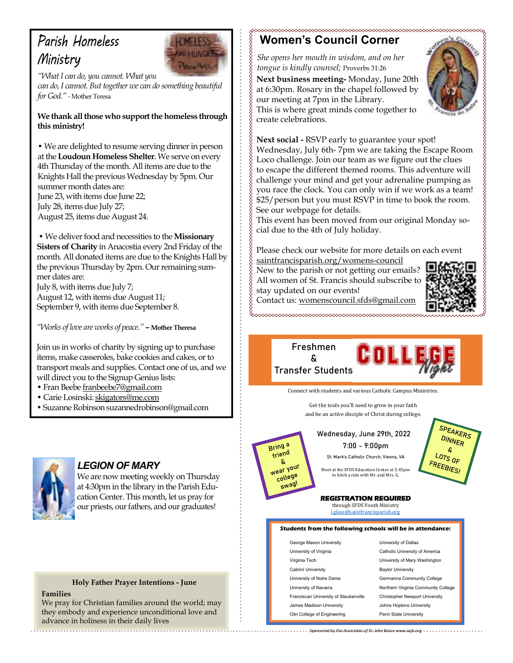## *Parish Homeless Ministry*



,,,,,,,,,,,,,,,,,,,,,,,

*"What I can do, you cannot. What you can do, I cannot. But together we can do something beautiful for God."* - Mother Teresa

#### **We thank all those who support the homeless through this ministry!**

**•** We are delighted to resume serving dinner in person at the **Loudoun Homeless Shelter**. We serve on every 4th Thursday of the month. All items are due to the Knights Hall the previous Wednesday by 5pm. Our summer month dates are: June 23, with items due June 22; July 28, items due July 27; August 25, items due August 24.

 **•** We deliver food and necessities to the **Missionary Sisters of Charity** in Anacostia every 2nd Friday of the month. All donated items are due to the Knights Hall by the previous Thursday by 2pm. Our remaining summer dates are:

July 8, with items due July 7; August 12, with items due August 11; September 9, with items due September 8.

*"Works of love are works of peace."* **– Mother Theresa**

Join us in works of charity by signing up to purchase items, make casseroles, bake cookies and cakes, or to transport meals and supplies. Contact one of us, and we will direct you to the Signup Genius lists:

- Fran Beebe franbeebe7@gmail.com
- Carie Losinski: skigators@me.com
- Suzanne Robinson suzannedrobinson@gmail.com



## *LEGION OF MARY*

We are now meeting weekly on Thursday at 4:30pm in the library in the Parish Education Center. This month, let us pray for our priests, our fathers, and our graduates!

### **Holy Father Prayer Intentions - June**

**Families**

We pray for Christian families around the world; may they embody and experience unconditional love and advance in holiness in their daily lives

#### **Women's Council Corner**

*She opens her mouth in wisdom, and on her tongue is kindly counsel;* Proverbs 31:26

**Next business meeting-** Monday, June 20th at 6:30pm. Rosary in the chapel followed by our meeting at 7pm in the Library.



This is where great minds come together to create celebrations.

**Next social -** RSVP early to guarantee your spot! Wednesday, July 6th- 7pm we are taking the Escape Room Loco challenge. Join our team as we figure out the clues to escape the different themed rooms. This adventure will challenge your mind and get your adrenaline pumping as you race the clock. You can only win if we work as a team! \$25/person but you must RSVP in time to book the room. See our webpage for details.

This event has been moved from our original Monday social due to the 4th of July holiday.

Please check our website for more details on each event saintfrancisparish.org/womens-council

New to the parish or not getting our emails? All women of St. Francis should subscribe to

stay updated on our events!



**SPEAKERS** DINNER

C.

 $\frac{L_{OTS}}{R_{F}}$  or

FREEBIES!

Contact us: womenscouncil.sfds@gmail.com 

> **Freshmen & & Transfer Students Freshmen Transfer Students**

> > Connect with students and various Catholic Campus Ministries.

Get the tools you'll need to grow in your faith and be an active disciple of Christ during college.

> **Wednesday, June 29th, 2022 7:00 - 9:00pm Wednesday, June 29th, 2022**

**7:00 - 9:00pm St. Mark's Catholic Church, Vienna, VA**

to hitch a ride with Mr. and Mrs. G. Meet at the SEDS Education Center at 5:45nm

through SFDS Youth Ministry <u>l.glass@saintfrancisparish.org</u> **REGISTRATION REQUIRED** 

#### sing and the control of the control of the control of the control of the control of the control of the control of **Students from the following schools will be in attendance: Students from the following schools will be in attendance:**

Sponsored by the *Associates of St. John Bosco* www.asjb.org Sponsored by the *Associates of St. John Bosco* www.asjb.org

| George Mason University               | University of Dallas                  |
|---------------------------------------|---------------------------------------|
| University of Virginia                | Catholic University of America        |
| Virginia Tech                         | University of Mary Washington         |
| Cabrini University                    | <b>Baylor University</b>              |
| University of Notre Dame              | Germanna Community College            |
| University of Navarra                 | Northern Virginia Community College   |
| Franciscan University of Steubenville | <b>Christopher Newport University</b> |
| James Madison University              | Johns Hopkins University              |
| Olin Collogo of Engineering           | Donn State University                 |

Olin College of Engineering Penn State University University of Dallas **Baylor University** Christopher Newport University Johns Hopkins University Penn State University

friend g, Wear your college SWag!

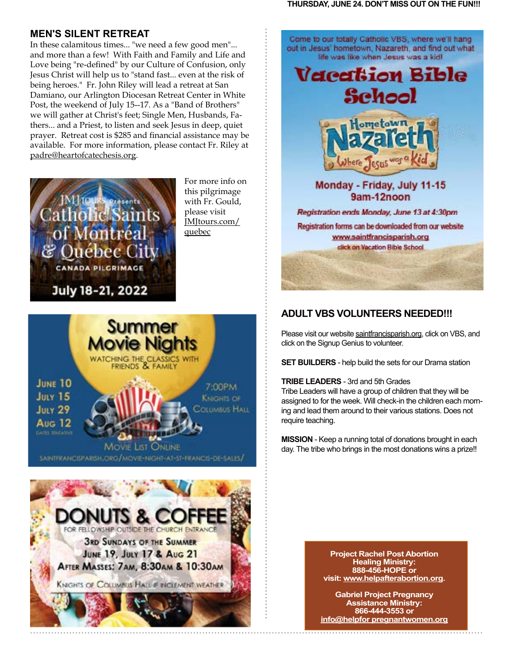### **MEN'S SILENT RETREAT**

In these calamitous times... "we need a few good men"... and more than a few! With Faith and Family and Life and Love being "re-defined" by our Culture of Confusion, only Jesus Christ will help us to "stand fast... even at the risk of being heroes." Fr. John Riley will lead a retreat at San Damiano, our Arlington Diocesan Retreat Center in White Post, the weekend of July 15--17. As a "Band of Brothers" we will gather at Christ's feet; Single Men, Husbands, Fathers... and a Priest, to listen and seek Jesus in deep, quiet prayer. Retreat cost is \$285 and financial assistance may be available. For more information, please contact Fr. Riley at padre@heartofcatechesis.org.



For more info on this pilgrimage with Fr. Gould, please visit JMJtours.com/ quebec







## **ADULT VBS VOLUNTEERS NEEDED!!!**

Please visit our website saintfrancisparish.org, click on VBS, and click on the Signup Genius to volunteer.

**SET BUILDERS** - help build the sets for our Drama station

#### **TRIBE LEADERS** - 3rd and 5th Grades

Tribe Leaders will have a group of children that they will be assigned to for the week. Will check-in the children each morning and lead them around to their various stations. Does not require teaching.

**MISSION** - Keep a running total of donations brought in each day. The tribe who brings in the most donations wins a prize!!

> **Project Rachel Post Abortion Healing Ministry: 888-456-HOPE or visit: www.helpafterabortion.org.**

**Gabriel Project Pregnancy Assistance Ministry: 866-444-3553 or info@helpfor pregnantwomen.org**